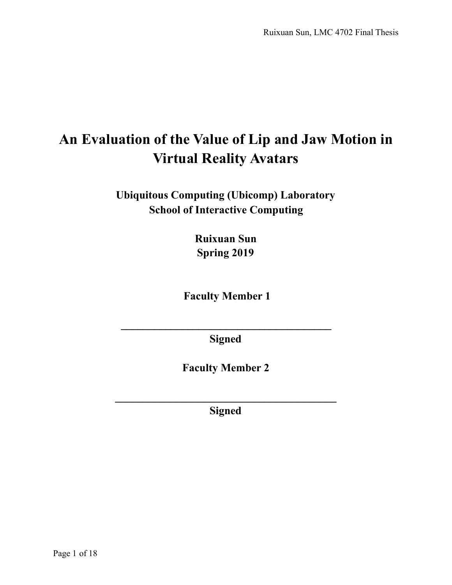# **An Evaluation of the Value of Lip and Jaw Motion in Virtual Reality Avatars**

**Ubiquitous Computing (Ubicomp) Laboratory School of Interactive Computing** 

> **Ruixuan Sun Spring 2019**

 **Faculty Member 1** 

**Signed** 

**\_\_\_\_\_\_\_\_\_\_\_\_\_\_\_\_\_\_\_\_\_\_\_\_\_\_\_\_\_\_\_\_\_\_\_\_\_\_** 

**Faculty Member 2** 

**\_\_\_\_\_\_\_\_\_\_\_\_\_\_\_\_\_\_\_\_\_\_\_\_\_\_\_\_\_\_\_\_\_\_\_\_\_\_\_\_ Signed**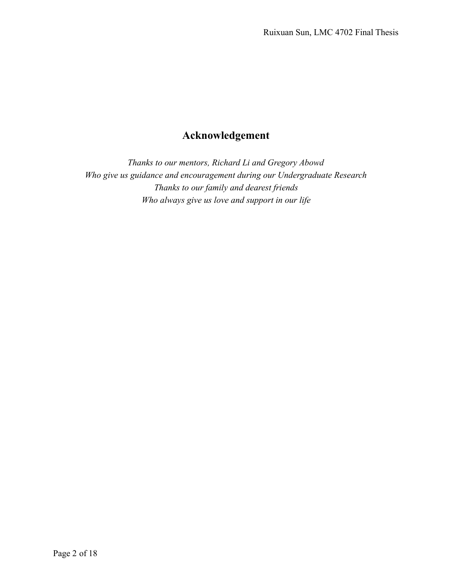# **Acknowledgement**

*Thanks to our mentors, Richard Li and Gregory Abowd Who give us guidance and encouragement during our Undergraduate Research Thanks to our family and dearest friends Who always give us love and support in our life*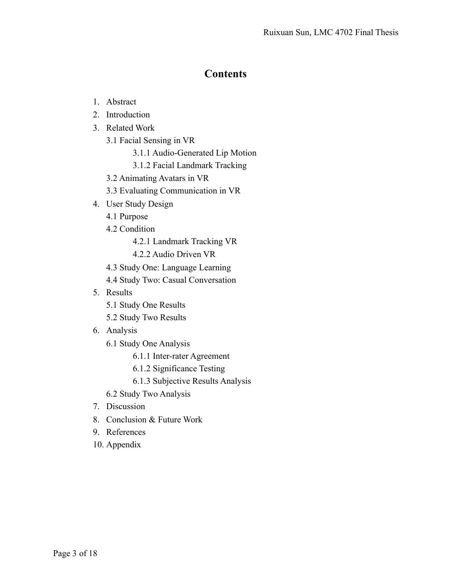# **Contents**

- 1. Abstract
- 2. Introduction
- 3. Related Work
	- 3.1 Facial Sensing in VR
		- 3.1.1 Audio-Generated Lip Motion
		- 3.1.2 Facial Landmark Tracking
	- 3.2 Animating Avatars in VR
	- 3.3 Evaluating Communication in VR
- 4. User Study Design
	- 4.1 Purpose
	- 4.2 Condition
		- 4.2.1 Landmark Tracking VR
		- 4.2.2 Audio Driven VR
	- 4.3 Study One: Language Learning
	- 4.4 Study Two: Casual Conversation
- 5. Results
	- 5.1 Study One Results
	- 5.2 Study Two Results
- 6. Analysis
	- 6.1 Study One Analysis
		- 6.1.1 Inter-rater Agreement
		- 6.1.2 Significance Testing
		- 6.1.3 Subjective Results Analysis
	- 6.2 Study Two Analysis
- 7. Discussion
- 8. Conclusion & Future Work
- 9. References
- 10. Appendix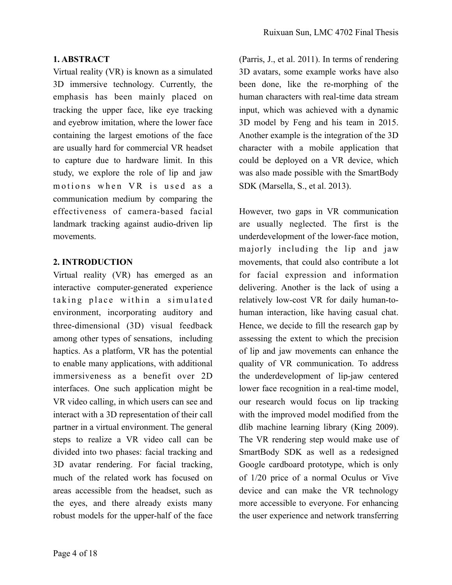# **1. ABSTRACT**

Virtual reality (VR) is known as a simulated 3D immersive technology. Currently, the emphasis has been mainly placed on tracking the upper face, like eye tracking and eyebrow imitation, where the lower face containing the largest emotions of the face are usually hard for commercial VR headset to capture due to hardware limit. In this study, we explore the role of lip and jaw motions when VR is used as a communication medium by comparing the effectiveness of camera-based facial landmark tracking against audio-driven lip movements.

# **2. INTRODUCTION**

Virtual reality (VR) has emerged as an interactive computer-generated experience taking place within a simulated environment, incorporating auditory and three-dimensional (3D) visual feedback among other types of sensations, including haptics. As a platform, VR has the potential to enable many applications, with additional immersiveness as a benefit over 2D interfaces. One such application might be VR video calling, in which users can see and interact with a 3D representation of their call partner in a virtual environment. The general steps to realize a VR video call can be divided into two phases: facial tracking and 3D avatar rendering. For facial tracking, much of the related work has focused on areas accessible from the headset, such as the eyes, and there already exists many robust models for the upper-half of the face

(Parris, J., et al. 2011). In terms of rendering 3D avatars, some example works have also been done, like the re-morphing of the human characters with real-time data stream input, which was achieved with a dynamic 3D model by Feng and his team in 2015. Another example is the integration of the 3D character with a mobile application that could be deployed on a VR device, which was also made possible with the SmartBody SDK (Marsella, S., et al. 2013).

However, two gaps in VR communication are usually neglected. The first is the underdevelopment of the lower-face motion, majorly including the lip and jaw movements, that could also contribute a lot for facial expression and information delivering. Another is the lack of using a relatively low-cost VR for daily human-tohuman interaction, like having casual chat. Hence, we decide to fill the research gap by assessing the extent to which the precision of lip and jaw movements can enhance the quality of VR communication. To address the underdevelopment of lip-jaw centered lower face recognition in a real-time model, our research would focus on lip tracking with the improved model modified from the dlib machine learning library (King 2009). The VR rendering step would make use of SmartBody SDK as well as a redesigned Google cardboard prototype, which is only of 1/20 price of a normal Oculus or Vive device and can make the VR technology more accessible to everyone. For enhancing the user experience and network transferring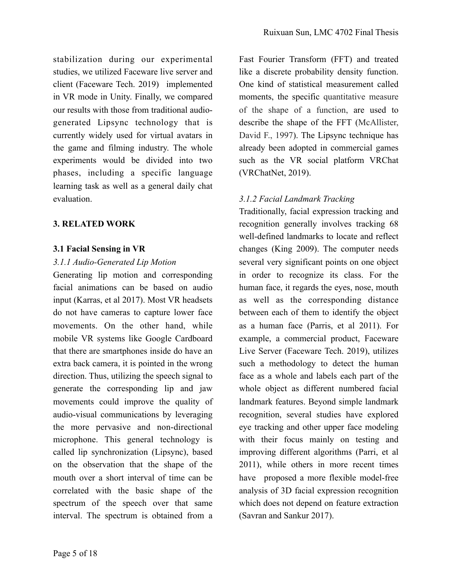stabilization during our experimental studies, we utilized Faceware live server and client (Faceware Tech. 2019) implemented in VR mode in Unity. Finally, we compared our results with those from traditional audiogenerated Lipsync technology that is currently widely used for virtual avatars in the game and filming industry. The whole experiments would be divided into two phases, including a specific language learning task as well as a general daily chat evaluation.

# **3. RELATED WORK**

# **3.1 Facial Sensing in VR**

# *3.1.1 Audio-Generated Lip Motion*

Generating lip motion and corresponding facial animations can be based on audio input (Karras, et al 2017). Most VR headsets do not have cameras to capture lower face movements. On the other hand, while mobile VR systems like Google Cardboard that there are smartphones inside do have an extra back camera, it is pointed in the wrong direction. Thus, utilizing the speech signal to generate the corresponding lip and jaw movements could improve the quality of audio-visual communications by leveraging the more pervasive and non-directional microphone. This general technology is called lip synchronization (Lipsync), based on the observation that the shape of the mouth over a short interval of time can be correlated with the basic shape of the spectrum of the speech over that same interval. The spectrum is obtained from a Fast Fourier Transform (FFT) and treated like a discrete probability density function. One kind of statistical measurement called moments, the specific quantitative measure of the shape of a function, are used to describe the shape of the FFT (McAllister, David F., 1997). The Lipsync technique has already been adopted in commercial games such as the VR social platform VRChat (VRChatNet, 2019).

# *3.1.2 Facial Landmark Tracking*

Traditionally, facial expression tracking and recognition generally involves tracking 68 well-defined landmarks to locate and reflect changes (King 2009). The computer needs several very significant points on one object in order to recognize its class. For the human face, it regards the eyes, nose, mouth as well as the corresponding distance between each of them to identify the object as a human face (Parris, et al 2011). For example, a commercial product, Faceware Live Server (Faceware Tech. 2019), utilizes such a methodology to detect the human face as a whole and labels each part of the whole object as different numbered facial landmark features. Beyond simple landmark recognition, several studies have explored eye tracking and other upper face modeling with their focus mainly on testing and improving different algorithms (Parri, et al 2011), while others in more recent times have proposed a more flexible model-free analysis of 3D facial expression recognition which does not depend on feature extraction (Savran and Sankur 2017).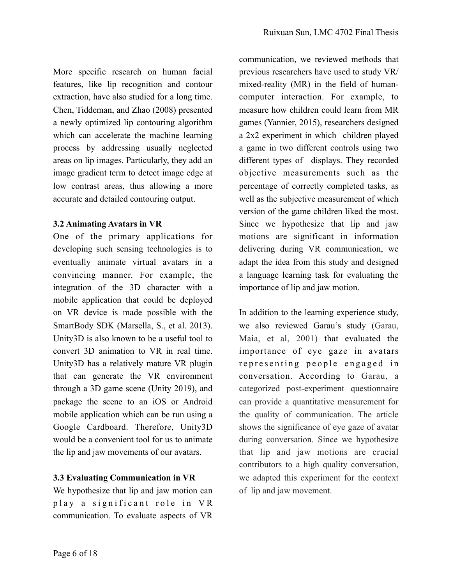More specific research on human facial features, like lip recognition and contour extraction, have also studied for a long time. Chen, Tiddeman, and Zhao (2008) presented a newly optimized lip contouring algorithm which can accelerate the machine learning process by addressing usually neglected areas on lip images. Particularly, they add an image gradient term to detect image edge at low contrast areas, thus allowing a more accurate and detailed contouring output.

#### **3.2 Animating Avatars in VR**

One of the primary applications for developing such sensing technologies is to eventually animate virtual avatars in a convincing manner. For example, the integration of the 3D character with a mobile application that could be deployed on VR device is made possible with the SmartBody SDK (Marsella, S., et al. 2013). Unity3D is also known to be a useful tool to convert 3D animation to VR in real time. Unity3D has a relatively mature VR plugin that can generate the VR environment through a 3D game scene (Unity 2019), and package the scene to an iOS or Android mobile application which can be run using a Google Cardboard. Therefore, Unity3D would be a convenient tool for us to animate the lip and jaw movements of our avatars.

#### **3.3 Evaluating Communication in VR**

We hypothesize that lip and jaw motion can play a significant role in VR communication. To evaluate aspects of VR

communication, we reviewed methods that previous researchers have used to study VR/ mixed-reality (MR) in the field of humancomputer interaction. For example, to measure how children could learn from MR games (Yannier, 2015), researchers designed a 2x2 experiment in which children played a game in two different controls using two different types of displays. They recorded objective measurements such as the percentage of correctly completed tasks, as well as the subjective measurement of which version of the game children liked the most. Since we hypothesize that lip and jaw motions are significant in information delivering during VR communication, we adapt the idea from this study and designed a language learning task for evaluating the importance of lip and jaw motion.

In addition to the learning experience study, we also reviewed Garau's study (Garau, Maia, et al, 2001) that evaluated the importance of eye gaze in avatars representing people engaged in conversation. According to Garau, a categorized post-experiment questionnaire can provide a quantitative measurement for the quality of communication. The article shows the significance of eye gaze of avatar during conversation. Since we hypothesize that lip and jaw motions are crucial contributors to a high quality conversation, we adapted this experiment for the context of lip and jaw movement.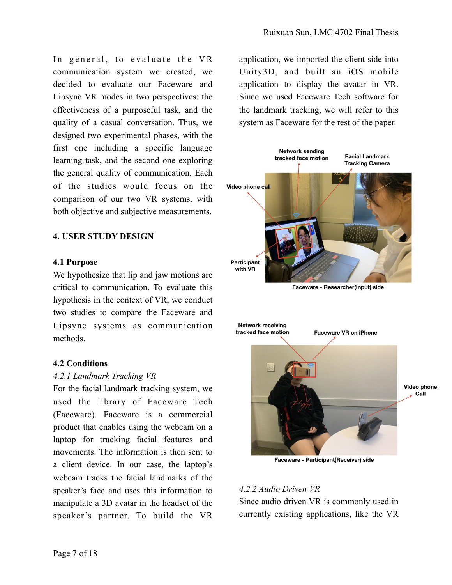In general, to evaluate the VR communication system we created, we decided to evaluate our Faceware and Lipsync VR modes in two perspectives: the effectiveness of a purposeful task, and the quality of a casual conversation. Thus, we designed two experimental phases, with the first one including a specific language learning task, and the second one exploring the general quality of communication. Each of the studies would focus on the comparison of our two VR systems, with both objective and subjective measurements.

#### **4. USER STUDY DESIGN**

#### **4.1 Purpose**

We hypothesize that lip and jaw motions are critical to communication. To evaluate this hypothesis in the context of VR, we conduct two studies to compare the Faceware and Lipsync systems as communication methods.

#### **4.2 Conditions**

#### *4.2.1 Landmark Tracking VR*

For the facial landmark tracking system, we used the library of Faceware Tech (Faceware). Faceware is a commercial product that enables using the webcam on a laptop for tracking facial features and movements. The information is then sent to a client device. In our case, the laptop's webcam tracks the facial landmarks of the speaker's face and uses this information to manipulate a 3D avatar in the headset of the speaker's partner. To build the VR

application, we imported the client side into Unity3D, and built an iOS mobile application to display the avatar in VR. Since we used Faceware Tech software for the landmark tracking, we will refer to this system as Faceware for the rest of the paper.



Faceware - Participant(Receiver) side

#### *4.2.2 Audio Driven VR*

Since audio driven VR is commonly used in currently existing applications, like the VR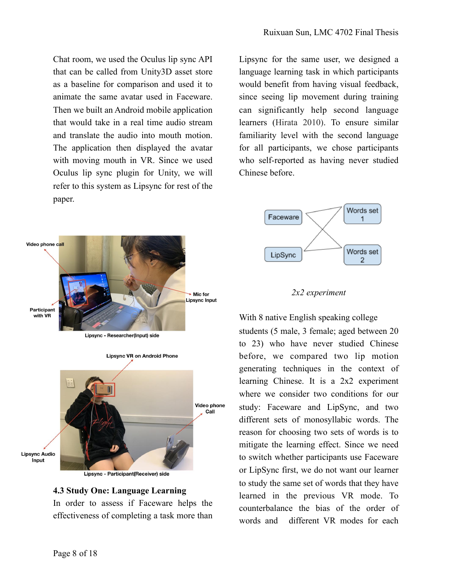Chat room, we used the Oculus lip sync API that can be called from Unity3D asset store as a baseline for comparison and used it to animate the same avatar used in Faceware. Then we built an Android mobile application that would take in a real time audio stream and translate the audio into mouth motion. The application then displayed the avatar with moving mouth in VR. Since we used Oculus lip sync plugin for Unity, we will refer to this system as Lipsync for rest of the paper.



#### **4.3 Study One: Language Learning**

In order to assess if Faceware helps the effectiveness of completing a task more than Lipsync for the same user, we designed a language learning task in which participants would benefit from having visual feedback, since seeing lip movement during training can significantly help second language learners (Hirata 2010). To ensure similar familiarity level with the second language for all participants, we chose participants who self-reported as having never studied Chinese before.





With 8 native English speaking college students (5 male, 3 female; aged between 20 to 23) who have never studied Chinese before, we compared two lip motion generating techniques in the context of learning Chinese. It is a 2x2 experiment where we consider two conditions for our study: Faceware and LipSync, and two different sets of monosyllabic words. The reason for choosing two sets of words is to mitigate the learning effect. Since we need to switch whether participants use Faceware or LipSync first, we do not want our learner to study the same set of words that they have learned in the previous VR mode. To counterbalance the bias of the order of words and different VR modes for each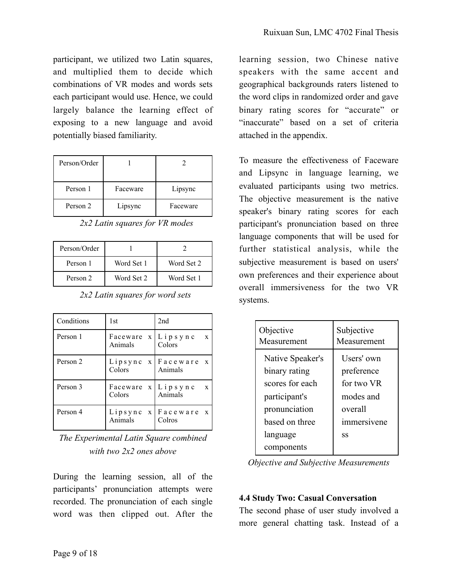participant, we utilized two Latin squares, and multiplied them to decide which combinations of VR modes and words sets each participant would use. Hence, we could largely balance the learning effect of exposing to a new language and avoid potentially biased familiarity.

| Person/Order |          |          |  |
|--------------|----------|----------|--|
| Person 1     | Faceware | Lipsync  |  |
| Person 2     | Lipsync  | Faceware |  |

*2x2 Latin squares for VR modes*

| Person/Order |            |            |
|--------------|------------|------------|
| Person 1     | Word Set 1 | Word Set 2 |
| Person 2     | Word Set 2 | Word Set 1 |

| Conditions | 1st                                               | 2nd                              |  |
|------------|---------------------------------------------------|----------------------------------|--|
| Person 1   | Faceware $x \mid L$ i $p \mid s$ y n c<br>Animals | $\mathbf{x}$<br>Colors           |  |
| Person 2   | Colors                                            | Lipsync x Faceware x<br>Animals  |  |
| Person 3   | Faceware $x \mid L$ i $p \mid s$ y n c<br>Colors  | $\mathbf{x}$<br>Animals          |  |
| Person 4   | <b>Animals</b>                                    | Lipsync x   Faceware x<br>Colros |  |

*2x2 Latin squares for word sets*

*The Experimental Latin Square combined with two 2x2 ones above*

During the learning session, all of the participants' pronunciation attempts were recorded. The pronunciation of each single word was then clipped out. After the learning session, two Chinese native speakers with the same accent and geographical backgrounds raters listened to the word clips in randomized order and gave binary rating scores for "accurate" or "inaccurate" based on a set of criteria attached in the appendix.

To measure the effectiveness of Faceware and Lipsync in language learning, we evaluated participants using two metrics. The objective measurement is the native speaker's binary rating scores for each participant's pronunciation based on three language components that will be used for further statistical analysis, while the subjective measurement is based on users' own preferences and their experience about overall immersiveness for the two VR systems.

| Objective              | Subjective  |  |
|------------------------|-------------|--|
| Measurement            | Measurement |  |
| Native Speaker's       | Users' own  |  |
| binary rating          | preference  |  |
| scores for each        | for two VR  |  |
| participant's          | modes and   |  |
| pronunciation          | overall     |  |
| based on three         | immersivene |  |
| language<br>components | SS          |  |

*Objective and Subjective Measurements*

# **4.4 Study Two: Casual Conversation**

The second phase of user study involved a more general chatting task. Instead of a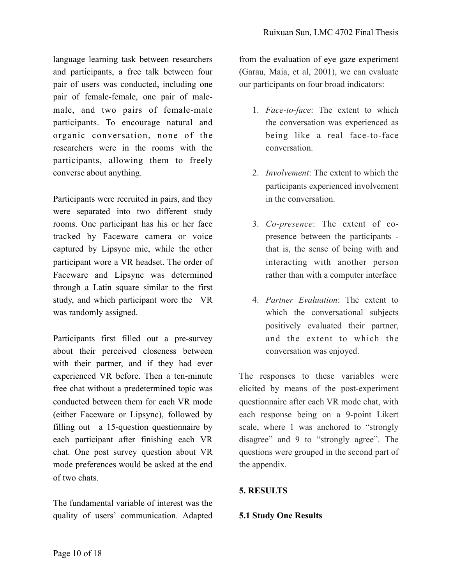language learning task between researchers and participants, a free talk between four pair of users was conducted, including one pair of female-female, one pair of malemale, and two pairs of female-male participants. To encourage natural and organic conversation, none of the researchers were in the rooms with the participants, allowing them to freely converse about anything.

Participants were recruited in pairs, and they were separated into two different study rooms. One participant has his or her face tracked by Faceware camera or voice captured by Lipsync mic, while the other participant wore a VR headset. The order of Faceware and Lipsync was determined through a Latin square similar to the first study, and which participant wore the VR was randomly assigned.

Participants first filled out a pre-survey about their perceived closeness between with their partner, and if they had ever experienced VR before. Then a ten-minute free chat without a predetermined topic was conducted between them for each VR mode (either Faceware or Lipsync), followed by filling out a 15-question questionnaire by each participant after finishing each VR chat. One post survey question about VR mode preferences would be asked at the end of two chats.

The fundamental variable of interest was the quality of users' communication. Adapted from the evaluation of eye gaze experiment (Garau, Maia, et al, 2001), we can evaluate our participants on four broad indicators:

- 1. *Face-to-face*: The extent to which the conversation was experienced as being like a real face-to-face conversation.
- 2. *Involvement*: The extent to which the participants experienced involvement in the conversation.
- 3. *Co-presence*: The extent of copresence between the participants that is, the sense of being with and interacting with another person rather than with a computer interface
- 4. *Partner Evaluation*: The extent to which the conversational subjects positively evaluated their partner, and the extent to which the conversation was enjoyed.

The responses to these variables were elicited by means of the post-experiment questionnaire after each VR mode chat, with each response being on a 9-point Likert scale, where 1 was anchored to "strongly disagree" and 9 to "strongly agree". The questions were grouped in the second part of the appendix.

# **5. RESULTS**

# **5.1 Study One Results**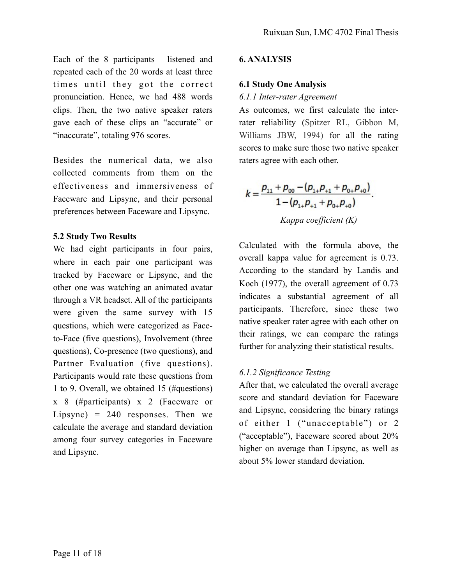Each of the 8 participants listened and repeated each of the 20 words at least three times until they got the correct pronunciation. Hence, we had 488 words clips. Then, the two native speaker raters gave each of these clips an "accurate" or "inaccurate", totaling 976 scores.

Besides the numerical data, we also collected comments from them on the effectiveness and immersiveness of Faceware and Lipsync, and their personal preferences between Faceware and Lipsync.

# **5.2 Study Two Results**

We had eight participants in four pairs, where in each pair one participant was tracked by Faceware or Lipsync, and the other one was watching an animated avatar through a VR headset. All of the participants were given the same survey with 15 questions, which were categorized as Faceto-Face (five questions), Involvement (three questions), Co-presence (two questions), and Partner Evaluation (five questions). Participants would rate these questions from 1 to 9. Overall, we obtained 15 (#questions) x 8 (#participants) x 2 (Faceware or Lipsync) =  $240$  responses. Then we calculate the average and standard deviation among four survey categories in Faceware and Lipsync.

# **6. ANALYSIS**

#### **6.1 Study One Analysis**

#### *6.1.1 Inter-rater Agreement*

As outcomes, we first calculate the interrater reliability (Spitzer RL, Gibbon M, Williams JBW, 1994) for all the rating scores to make sure those two native speaker raters agree with each other.

$$
k = \frac{p_{11} + p_{00} - (p_{1+}p_{+1} + p_{0+}p_{+0})}{1 - (p_{1+}p_{+1} + p_{0+}p_{+0})}.
$$
  
Kappa coefficient (K)

Calculated with the formula above, the overall kappa value for agreement is 0.73. According to the standard by Landis and Koch (1977), the overall agreement of 0.73 indicates a substantial agreement of all participants. Therefore, since these two native speaker rater agree with each other on their ratings, we can compare the ratings further for analyzing their statistical results.

# *6.1.2 Significance Testing*

After that, we calculated the overall average score and standard deviation for Faceware and Lipsync, considering the binary ratings of either 1 ("unacceptable") or 2 ("acceptable"), Faceware scored about 20% higher on average than Lipsync, as well as about 5% lower standard deviation.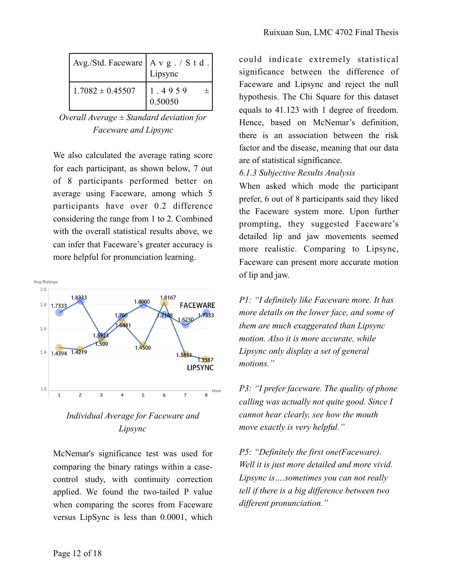| Avg./Std. Faceware $  A v g  $ / S t d $ $ | Lipsync           |
|--------------------------------------------|-------------------|
| $1.7082 \pm 0.45507$                       | 1.4959<br>0.50050 |

*Overall Average ± Standard deviation for Faceware and Lipsync* 

We also calculated the average rating score for each participant, as shown below, 7 out of 8 participants performed better on average using Faceware, among which 5 participants have over 0.2 difference considering the range from 1 to 2. Combined with the overall statistical results above, we can infer that Faceware's greater accuracy is more helpful for pronunciation learning.



# *Individual Average for Faceware and Lipsync*

McNemar's significance test was used for comparing the binary ratings within a casecontrol study, with continuity correction applied. We found the two-tailed P value when comparing the scores from Faceware versus LipSync is less than 0.0001, which

could indicate extremely statistical significance between the difference of Faceware and Lipsync and reject the null hypothesis. The Chi Square for this dataset equals to 41.123 with 1 degree of freedom. Hence, based on McNemar's definition, there is an association between the risk factor and the disease, meaning that our data are of statistical significance.

# *6.1.3 Subjective Results Analysis*

When asked which mode the participant prefer, 6 out of 8 participants said they liked the Faceware system more. Upon further prompting, they suggested Faceware's detailed lip and jaw movements seemed more realistic. Comparing to Lipsync, Faceware can present more accurate motion of lip and jaw.

*P1: "I definitely like Faceware more. It has more details on the lower face, and some of them are much exaggerated than Lipsync motion. Also it is more accurate, while Lipsync only display a set of general motions."* 

*P3: "I prefer faceware. The quality of phone calling was actually not quite good. Since I cannot hear clearly, see how the mouth move exactly is very helpful."* 

*P5: "Definitely the first one(Faceware). Well it is just more detailed and more vivid. Lipsync is….sometimes you can not really tell if there is a big difference between two different pronunciation."*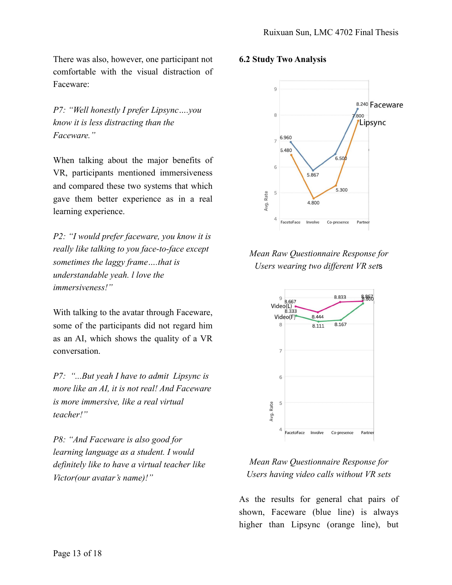There was also, however, one participant not comfortable with the visual distraction of Faceware:

*P7: "Well honestly I prefer Lipsync….you know it is less distracting than the Faceware."* 

When talking about the major benefits of VR, participants mentioned immersiveness and compared these two systems that which gave them better experience as in a real learning experience.

*P2: "I would prefer faceware, you know it is really like talking to you face-to-face except sometimes the laggy frame….that is understandable yeah. l love the immersiveness!"* 

With talking to the avatar through Faceware, some of the participants did not regard him as an AI, which shows the quality of a VR conversation.

*P7: "...But yeah I have to admit Lipsync is more like an AI, it is not real! And Faceware is more immersive, like a real virtual teacher!"* 

*P8: "And Faceware is also good for learning language as a student. I would definitely like to have a virtual teacher like Victor(our avatar's name)!"* 

#### **6.2 Study Two Analysis**



# *Mean Raw Questionnaire Response for Users wearing two different VR set*s



# *Mean Raw Questionnaire Response for Users having video calls without VR sets*

As the results for general chat pairs of shown, Faceware (blue line) is always higher than Lipsync (orange line), but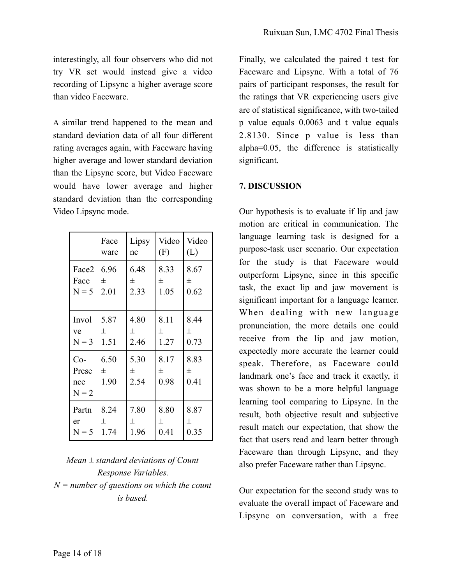interestingly, all four observers who did not try VR set would instead give a video recording of Lipsync a higher average score than video Faceware.

A similar trend happened to the mean and standard deviation data of all four different rating averages again, with Faceware having higher average and lower standard deviation than the Lipsync score, but Video Faceware would have lower average and higher standard deviation than the corresponding Video Lipsync mode.

|                                  | Face              | Lipsy             | Video             | Video             |
|----------------------------------|-------------------|-------------------|-------------------|-------------------|
|                                  | ware              | nc                | (F)               | (L)               |
| Face2                            | 6.96              | 6.48              | 8.33              | 8.67              |
| Face                             | 士                 | 士                 | 士                 | 士                 |
| $N = 5$                          | 2.01              | 2.33              | 1.05              | 0.62              |
| Invol                            | 5.87              | 4.80              | 8.11              | 8.44              |
| ve                               | 士                 | 士                 | 士                 | 土                 |
| $N = 3$                          | 1.51              | 2.46              | 1.27              | 0.73              |
| $Co-$<br>Prese<br>nce<br>$N = 2$ | 6.50<br>士<br>1.90 | 5.30<br>士<br>2.54 | 8.17<br>士<br>0.98 | 8.83<br>士<br>0.41 |
| Partn                            | 8.24              | 7.80              | 8.80              | 8.87              |
| er                               | 士                 | 士                 | 士                 | 士                 |
| $N = 5$                          | 1.74              | 1.96              | 0.41              | 0.35              |

*Mean ± standard deviations of Count Response Variables. N = number of questions on which the count is based.*

Finally, we calculated the paired t test for Faceware and Lipsync. With a total of 76 pairs of participant responses, the result for the ratings that VR experiencing users give are of statistical significance, with two-tailed p value equals 0.0063 and t value equals 2.8130. Since p value is less than alpha=0.05, the difference is statistically significant.

# **7. DISCUSSION**

Our hypothesis is to evaluate if lip and jaw motion are critical in communication. The language learning task is designed for a purpose-task user scenario. Our expectation for the study is that Faceware would outperform Lipsync, since in this specific task, the exact lip and jaw movement is significant important for a language learner. When dealing with new language pronunciation, the more details one could receive from the lip and jaw motion, expectedly more accurate the learner could speak. Therefore, as Faceware could landmark one's face and track it exactly, it was shown to be a more helpful language learning tool comparing to Lipsync. In the result, both objective result and subjective result match our expectation, that show the fact that users read and learn better through Faceware than through Lipsync, and they also prefer Faceware rather than Lipsync.

Our expectation for the second study was to evaluate the overall impact of Faceware and Lipsync on conversation, with a free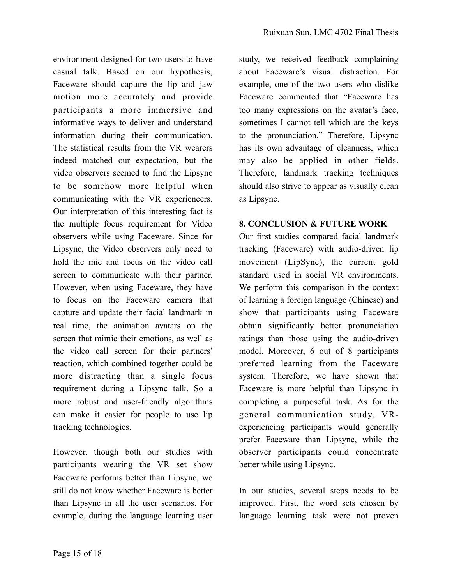environment designed for two users to have casual talk. Based on our hypothesis, Faceware should capture the lip and jaw motion more accurately and provide participants a more immersive and informative ways to deliver and understand information during their communication. The statistical results from the VR wearers indeed matched our expectation, but the video observers seemed to find the Lipsync to be somehow more helpful when communicating with the VR experiencers. Our interpretation of this interesting fact is the multiple focus requirement for Video observers while using Faceware. Since for Lipsync, the Video observers only need to hold the mic and focus on the video call screen to communicate with their partner. However, when using Faceware, they have to focus on the Faceware camera that capture and update their facial landmark in real time, the animation avatars on the screen that mimic their emotions, as well as the video call screen for their partners' reaction, which combined together could be more distracting than a single focus requirement during a Lipsync talk. So a more robust and user-friendly algorithms can make it easier for people to use lip tracking technologies.

However, though both our studies with participants wearing the VR set show Faceware performs better than Lipsync, we still do not know whether Faceware is better than Lipsync in all the user scenarios. For example, during the language learning user

study, we received feedback complaining about Faceware's visual distraction. For example, one of the two users who dislike Faceware commented that "Faceware has too many expressions on the avatar's face, sometimes I cannot tell which are the keys to the pronunciation." Therefore, Lipsync has its own advantage of cleanness, which may also be applied in other fields. Therefore, landmark tracking techniques should also strive to appear as visually clean as Lipsync.

#### **8. CONCLUSION & FUTURE WORK**

Our first studies compared facial landmark tracking (Faceware) with audio-driven lip movement (LipSync), the current gold standard used in social VR environments. We perform this comparison in the context of learning a foreign language (Chinese) and show that participants using Faceware obtain significantly better pronunciation ratings than those using the audio-driven model. Moreover, 6 out of 8 participants preferred learning from the Faceware system. Therefore, we have shown that Faceware is more helpful than Lipsync in completing a purposeful task. As for the general communication study, VRexperiencing participants would generally prefer Faceware than Lipsync, while the observer participants could concentrate better while using Lipsync.

In our studies, several steps needs to be improved. First, the word sets chosen by language learning task were not proven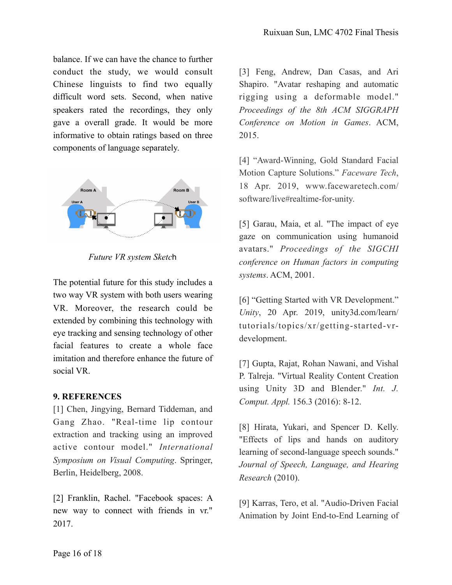balance. If we can have the chance to further conduct the study, we would consult Chinese linguists to find two equally difficult word sets. Second, when native speakers rated the recordings, they only gave a overall grade. It would be more informative to obtain ratings based on three components of language separately.



*Future VR system Sketc*h

The potential future for this study includes a two way VR system with both users wearing VR. Moreover, the research could be extended by combining this technology with eye tracking and sensing technology of other facial features to create a whole face imitation and therefore enhance the future of social VR.

#### **9. REFERENCES**

[1] Chen, Jingying, Bernard Tiddeman, and Gang Zhao. "Real-time lip contour extraction and tracking using an improved active contour model." *International Symposium on Visual Computing*. Springer, Berlin, Heidelberg, 2008.

[2] Franklin, Rachel. "Facebook spaces: A new way to connect with friends in vr." 2017.

[3] Feng, Andrew, Dan Casas, and Ari Shapiro. "Avatar reshaping and automatic rigging using a deformable model." *Proceedings of the 8th ACM SIGGRAPH Conference on Motion in Games*. ACM, 2015.

[4] "Award-Winning, Gold Standard Facial Motion Capture Solutions." *Faceware Tech*, 18 Apr. 2019, www.facewaretech.com/ software/live#realtime-for-unity.

[5] Garau, Maia, et al. "The impact of eye gaze on communication using humanoid avatars." *Proceedings of the SIGCHI conference on Human factors in computing systems*. ACM, 2001.

[6] "Getting Started with VR Development." *Unity*, 20 Apr. 2019, unity3d.com/learn/ tutorials/topics/xr/getting-started-vrdevelopment.

[7] Gupta, Rajat, Rohan Nawani, and Vishal P. Talreja. "Virtual Reality Content Creation using Unity 3D and Blender." *Int. J. Comput. Appl.* 156.3 (2016): 8-12.

[8] Hirata, Yukari, and Spencer D. Kelly. "Effects of lips and hands on auditory learning of second-language speech sounds." *Journal of Speech, Language, and Hearing Research* (2010).

[9] Karras, Tero, et al. "Audio-Driven Facial Animation by Joint End-to-End Learning of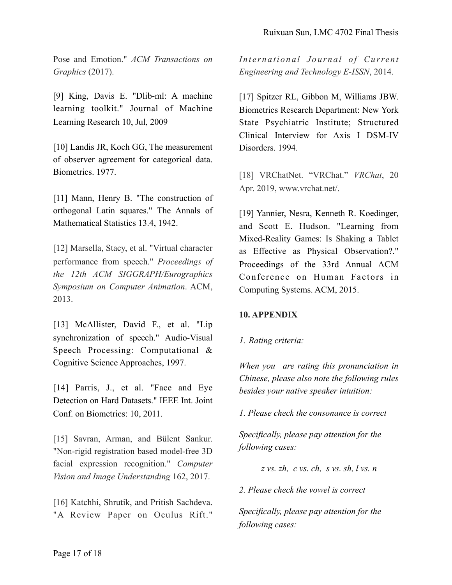Pose and Emotion." *ACM Transactions on Graphics* (2017).

[9] King, Davis E. "Dlib-ml: A machine learning toolkit." Journal of Machine Learning Research 10, Jul, 2009

[10] Landis JR, Koch GG, The measurement of observer agreement for categorical data. Biometrics. 1977.

[11] Mann, Henry B. "The construction of orthogonal Latin squares." The Annals of Mathematical Statistics 13.4, 1942.

[12] Marsella, Stacy, et al. "Virtual character performance from speech." *Proceedings of the 12th ACM SIGGRAPH/Eurographics Symposium on Computer Animation*. ACM, 2013.

[13] McAllister, David F., et al. "Lip synchronization of speech." Audio-Visual Speech Processing: Computational & Cognitive Science Approaches, 1997.

[14] Parris, J., et al. "Face and Eye Detection on Hard Datasets." IEEE Int. Joint Conf. on Biometrics: 10, 2011.

[15] Savran, Arman, and Bülent Sankur. "Non-rigid registration based model-free 3D facial expression recognition." *Computer Vision and Image Understanding* 162, 2017.

[16] Katchhi, Shrutik, and Pritish Sachdeva. "A Review Paper on Oculus Rift." International Journal of Current *Engineering and Technology E-ISSN*, 2014.

[17] Spitzer RL, Gibbon M, Williams JBW. Biometrics Research Department: New York State Psychiatric Institute; Structured Clinical Interview for Axis I DSM-IV Disorders. 1994.

[18] VRChatNet. "VRChat." *VRChat*, 20 Apr. 2019, www.vrchat.net/.

[19] Yannier, Nesra, Kenneth R. Koedinger, and Scott E. Hudson. "Learning from Mixed-Reality Games: Is Shaking a Tablet as Effective as Physical Observation?." Proceedings of the 33rd Annual ACM Conference on Human Factors in Computing Systems. ACM, 2015.

#### **10. APPENDIX**

*1. Rating criteria:* 

*When you are rating this pronunciation in Chinese, please also note the following rules besides your native speaker intuition:* 

*1. Please check the consonance is correct* 

*Specifically, please pay attention for the following cases:* 

*z vs. zh, c vs. ch, s vs. sh, l vs. n* 

*2. Please check the vowel is correct* 

*Specifically, please pay attention for the following cases:*